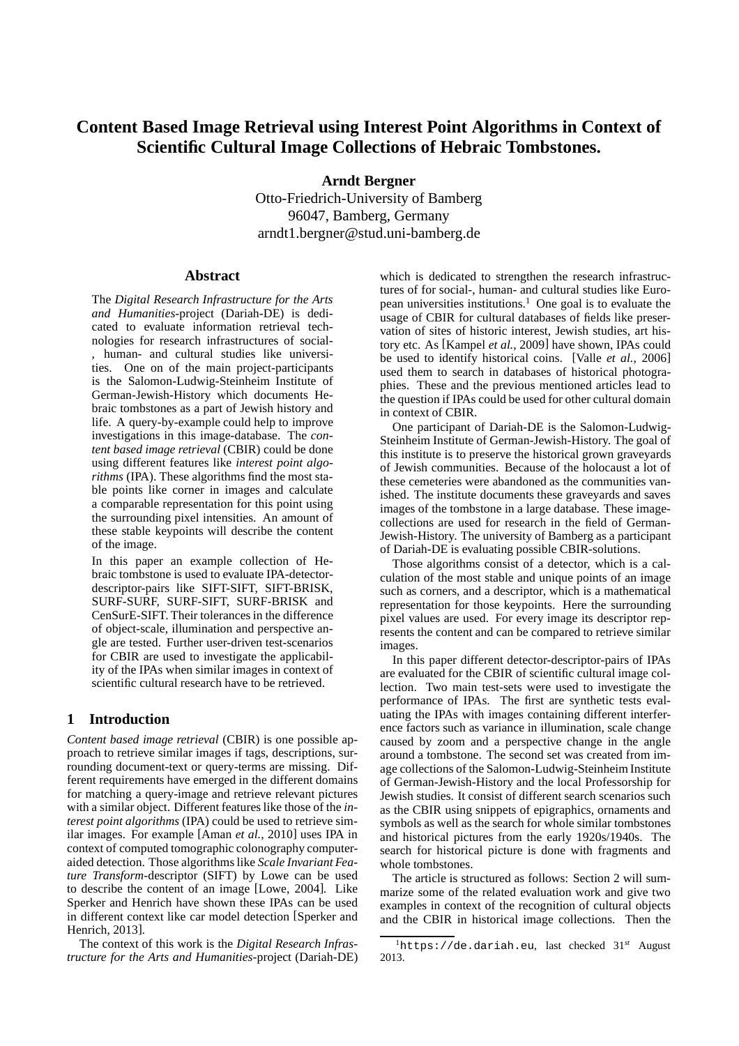# **Content Based Image Retrieval using Interest Point Algorithms in Context of Scientific Cultural Image Collections of Hebraic Tombstones.**

**Arndt Bergner** Otto-Friedrich-University of Bamberg 96047, Bamberg, Germany arndt1.bergner@stud.uni-bamberg.de

#### **Abstract**

The *Digital Research Infrastructure for the Arts and Humanities*-project (Dariah-DE) is dedicated to evaluate information retrieval technologies for research infrastructures of social- , human- and cultural studies like universities. One on of the main project-participants is the Salomon-Ludwig-Steinheim Institute of German-Jewish-History which documents Hebraic tombstones as a part of Jewish history and life. A query-by-example could help to improve investigations in this image-database. The *content based image retrieval* (CBIR) could be done using different features like *interest point algorithms* (IPA). These algorithms find the most stable points like corner in images and calculate a comparable representation for this point using the surrounding pixel intensities. An amount of these stable keypoints will describe the content of the image.

In this paper an example collection of Hebraic tombstone is used to evaluate IPA-detectordescriptor-pairs like SIFT-SIFT, SIFT-BRISK, SURF-SURF, SURF-SIFT, SURF-BRISK and CenSurE-SIFT. Their tolerances in the difference of object-scale, illumination and perspective angle are tested. Further user-driven test-scenarios for CBIR are used to investigate the applicability of the IPAs when similar images in context of scientific cultural research have to be retrieved.

# **1 Introduction**

*Content based image retrieval* (CBIR) is one possible approach to retrieve similar images if tags, descriptions, surrounding document-text or query-terms are missing. Different requirements have emerged in the different domains for matching a query-image and retrieve relevant pictures with a similar object. Different features like those of the *interest point algorithms* (IPA) could be used to retrieve similar images. For example [Aman *et al.*, 2010] uses IPA in context of computed tomographic colonography computeraided detection. Those algorithms like *Scale Invariant Feature Transform*-descriptor (SIFT) by Lowe can be used to describe the content of an image [Lowe, 2004]. Like Sperker and Henrich have shown these IPAs can be used in different context like car model detection [Sperker and Henrich, 2013].

The context of this work is the *Digital Research Infrastructure for the Arts and Humanities*-project (Dariah-DE) which is dedicated to strengthen the research infrastructures of for social-, human- and cultural studies like European universities institutions.<sup>1</sup> One goal is to evaluate the usage of CBIR for cultural databases of fields like preservation of sites of historic interest, Jewish studies, art history etc. As [Kampel *et al.*, 2009] have shown, IPAs could be used to identify historical coins. [Valle *et al.*, 2006] used them to search in databases of historical photographies. These and the previous mentioned articles lead to the question if IPAs could be used for other cultural domain in context of CBIR.

One participant of Dariah-DE is the Salomon-Ludwig-Steinheim Institute of German-Jewish-History. The goal of this institute is to preserve the historical grown graveyards of Jewish communities. Because of the holocaust a lot of these cemeteries were abandoned as the communities vanished. The institute documents these graveyards and saves images of the tombstone in a large database. These imagecollections are used for research in the field of German-Jewish-History. The university of Bamberg as a participant of Dariah-DE is evaluating possible CBIR-solutions.

Those algorithms consist of a detector, which is a calculation of the most stable and unique points of an image such as corners, and a descriptor, which is a mathematical representation for those keypoints. Here the surrounding pixel values are used. For every image its descriptor represents the content and can be compared to retrieve similar images.

In this paper different detector-descriptor-pairs of IPAs are evaluated for the CBIR of scientific cultural image collection. Two main test-sets were used to investigate the performance of IPAs. The first are synthetic tests evaluating the IPAs with images containing different interference factors such as variance in illumination, scale change caused by zoom and a perspective change in the angle around a tombstone. The second set was created from image collections of the Salomon-Ludwig-Steinheim Institute of German-Jewish-History and the local Professorship for Jewish studies. It consist of different search scenarios such as the CBIR using snippets of epigraphics, ornaments and symbols as well as the search for whole similar tombstones and historical pictures from the early 1920s/1940s. The search for historical picture is done with fragments and whole tombstones.

The article is structured as follows: Section 2 will summarize some of the related evaluation work and give two examples in context of the recognition of cultural objects and the CBIR in historical image collections. Then the

<sup>1</sup>https://de.dariah.eu, last checked 31*st* August 2013.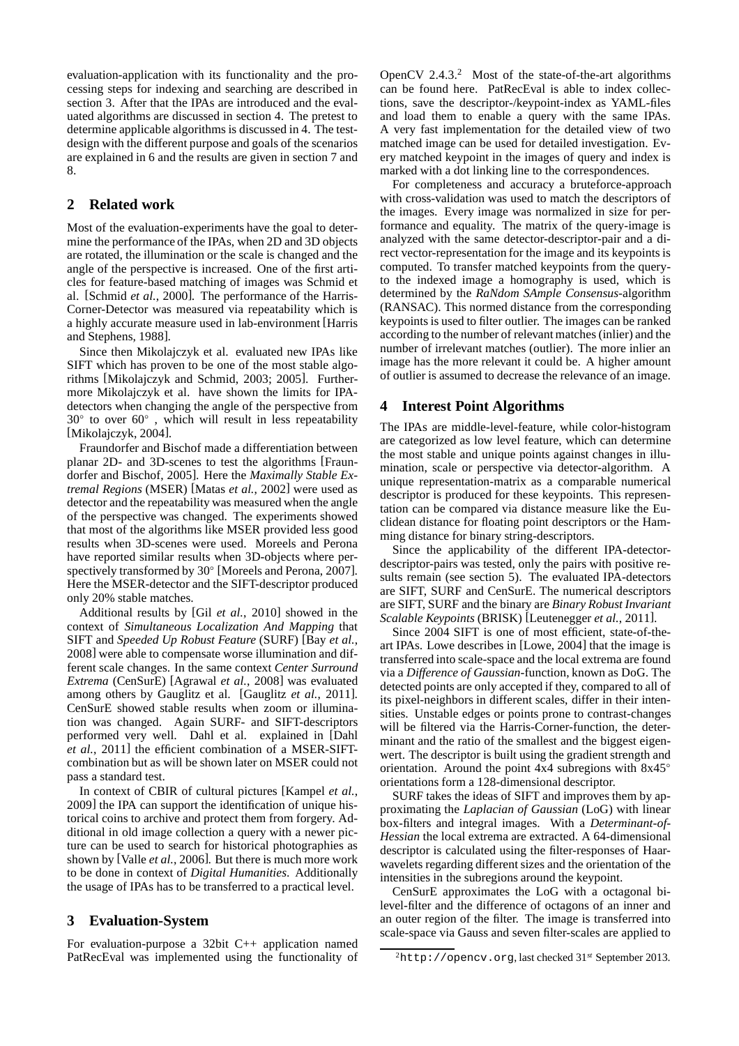evaluation-application with its functionality and the processing steps for indexing and searching are described in section 3. After that the IPAs are introduced and the evaluated algorithms are discussed in section 4. The pretest to determine applicable algorithms is discussed in 4. The testdesign with the different purpose and goals of the scenarios are explained in 6 and the results are given in section 7 and 8.

# **2 Related work**

Most of the evaluation-experiments have the goal to determine the performance of the IPAs, when 2D and 3D objects are rotated, the illumination or the scale is changed and the angle of the perspective is increased. One of the first articles for feature-based matching of images was Schmid et al. [Schmid *et al.*, 2000]. The performance of the Harris-Corner-Detector was measured via repeatability which is a highly accurate measure used in lab-environment [Harris and Stephens, 1988].

Since then Mikolajczyk et al. evaluated new IPAs like SIFT which has proven to be one of the most stable algorithms [Mikolajczyk and Schmid, 2003; 2005]. Furthermore Mikolajczyk et al. have shown the limits for IPAdetectors when changing the angle of the perspective from  $30°$  to over  $60°$ , which will result in less repeatability [Mikolajczyk, 2004].

Fraundorfer and Bischof made a differentiation between planar 2D- and 3D-scenes to test the algorithms [Fraundorfer and Bischof, 2005]. Here the *Maximally Stable Extremal Regions* (MSER) [Matas *et al.*, 2002] were used as detector and the repeatability was measured when the angle of the perspective was changed. The experiments showed that most of the algorithms like MSER provided less good results when 3D-scenes were used. Moreels and Perona have reported similar results when 3D-objects where perspectively transformed by 30° [Moreels and Perona, 2007]. Here the MSER-detector and the SIFT-descriptor produced only 20% stable matches.

Additional results by [Gil *et al.*, 2010] showed in the context of *Simultaneous Localization And Mapping* that SIFT and *Speeded Up Robust Feature* (SURF) [Bay *et al.*, 2008] were able to compensate worse illumination and different scale changes. In the same context *Center Surround Extrema* (CenSurE) [Agrawal *et al.*, 2008] was evaluated among others by Gauglitz et al. [Gauglitz *et al.*, 2011]. CenSurE showed stable results when zoom or illumination was changed. Again SURF- and SIFT-descriptors performed very well. Dahl et al. explained in [Dahl *et al.*, 2011] the efficient combination of a MSER-SIFTcombination but as will be shown later on MSER could not pass a standard test.

In context of CBIR of cultural pictures [Kampel *et al.*, 2009] the IPA can support the identification of unique historical coins to archive and protect them from forgery. Additional in old image collection a query with a newer picture can be used to search for historical photographies as shown by [Valle *et al.*, 2006]. But there is much more work to be done in context of *Digital Humanities*. Additionally the usage of IPAs has to be transferred to a practical level.

# **3 Evaluation-System**

For evaluation-purpose a 32bit C++ application named PatRecEval was implemented using the functionality of OpenCV  $2.4.3<sup>2</sup>$  Most of the state-of-the-art algorithms can be found here. PatRecEval is able to index collections, save the descriptor-/keypoint-index as YAML-files and load them to enable a query with the same IPAs. A very fast implementation for the detailed view of two matched image can be used for detailed investigation. Every matched keypoint in the images of query and index is marked with a dot linking line to the correspondences.

For completeness and accuracy a bruteforce-approach with cross-validation was used to match the descriptors of the images. Every image was normalized in size for performance and equality. The matrix of the query-image is analyzed with the same detector-descriptor-pair and a direct vector-representation for the image and its keypoints is computed. To transfer matched keypoints from the queryto the indexed image a homography is used, which is determined by the *RaNdom SAmple Consensus*-algorithm (RANSAC). This normed distance from the corresponding keypoints is used to filter outlier. The images can be ranked according to the number of relevant matches (inlier) and the number of irrelevant matches (outlier). The more inlier an image has the more relevant it could be. A higher amount of outlier is assumed to decrease the relevance of an image.

# **4 Interest Point Algorithms**

The IPAs are middle-level-feature, while color-histogram are categorized as low level feature, which can determine the most stable and unique points against changes in illumination, scale or perspective via detector-algorithm. A unique representation-matrix as a comparable numerical descriptor is produced for these keypoints. This representation can be compared via distance measure like the Euclidean distance for floating point descriptors or the Hamming distance for binary string-descriptors.

Since the applicability of the different IPA-detectordescriptor-pairs was tested, only the pairs with positive results remain (see section 5). The evaluated IPA-detectors are SIFT, SURF and CenSurE. The numerical descriptors are SIFT, SURF and the binary are *Binary Robust Invariant Scalable Keypoints* (BRISK) [Leutenegger *et al.*, 2011].

Since 2004 SIFT is one of most efficient, state-of-theart IPAs. Lowe describes in [Lowe, 2004] that the image is transferred into scale-space and the local extrema are found via a *Difference of Gaussian*-function, known as DoG. The detected points are only accepted if they, compared to all of its pixel-neighbors in different scales, differ in their intensities. Unstable edges or points prone to contrast-changes will be filtered via the Harris-Corner-function, the determinant and the ratio of the smallest and the biggest eigenwert. The descriptor is built using the gradient strength and orientation. Around the point 4x4 subregions with 8x45◦ orientations form a 128-dimensional descriptor.

SURF takes the ideas of SIFT and improves them by approximating the *Laplacian of Gaussian* (LoG) with linear box-filters and integral images. With a *Determinant-of-Hessian* the local extrema are extracted. A 64-dimensional descriptor is calculated using the filter-responses of Haarwavelets regarding different sizes and the orientation of the intensities in the subregions around the keypoint.

CenSurE approximates the LoG with a octagonal bilevel-filter and the difference of octagons of an inner and an outer region of the filter. The image is transferred into scale-space via Gauss and seven filter-scales are applied to

<sup>2</sup>http://opencv.org, last checked 31*st* September 2013.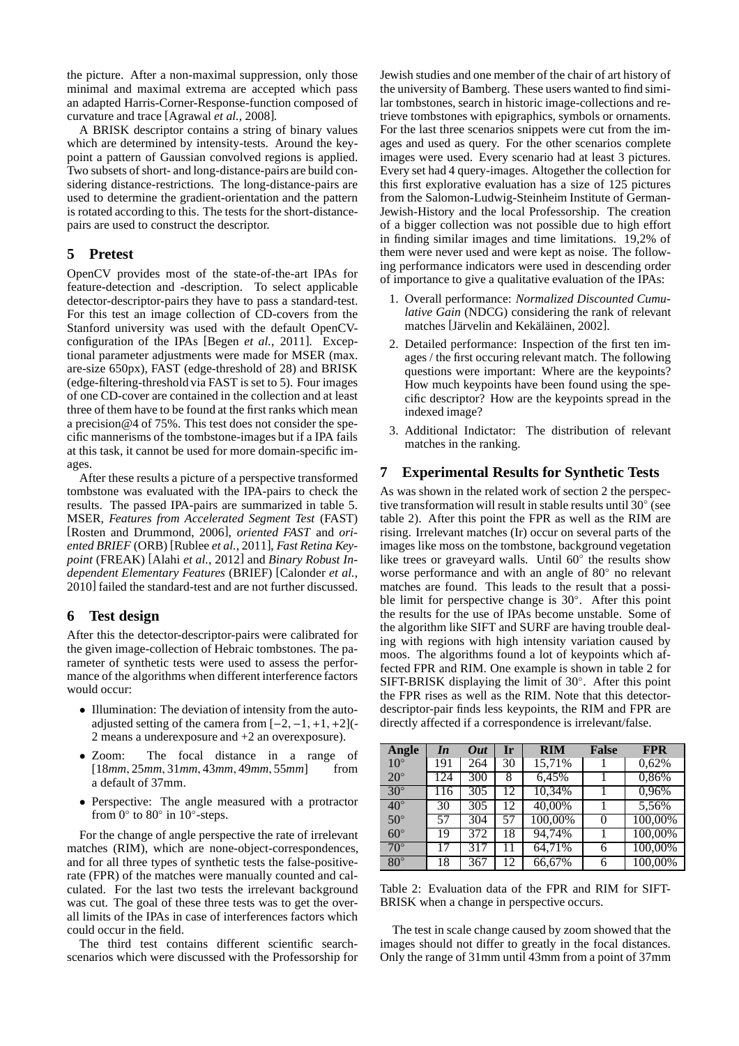the picture. After a non-maximal suppression, only those minimal and maximal extrema are accepted which pass an adapted Harris-Corner-Response-function composed of curvature and trace [Agrawal *et al.*, 2008].

A BRISK descriptor contains a string of binary values which are determined by intensity-tests. Around the keypoint a pattern of Gaussian convolved regions is applied. Two subsets of short- and long-distance-pairs are build considering distance-restrictions. The long-distance-pairs are used to determine the gradient-orientation and the pattern is rotated according to this. The tests for the short-distancepairs are used to construct the descriptor.

# **5 Pretest**

OpenCV provides most of the state-of-the-art IPAs for feature-detection and -description. To select applicable detector-descriptor-pairs they have to pass a standard-test. For this test an image collection of CD-covers from the Stanford university was used with the default OpenCVconfiguration of the IPAs [Begen *et al.*, 2011]. Exceptional parameter adjustments were made for MSER (max. are-size 650px), FAST (edge-threshold of 28) and BRISK (edge-filtering-threshold via FAST is set to 5). Four images of one CD-cover are contained in the collection and at least three of them have to be found at the first ranks which mean a precision@4 of 75%. This test does not consider the specific mannerisms of the tombstone-images but if a IPA fails at this task, it cannot be used for more domain-specific images.

After these results a picture of a perspective transformed tombstone was evaluated with the IPA-pairs to check the results. The passed IPA-pairs are summarized in table 5. MSER, *Features from Accelerated Segment Test* (FAST) [Rosten and Drummond, 2006], *oriented FAST* and *oriented BRIEF* (ORB) [Rublee *et al.*, 2011], *Fast Retina Keypoint* (FREAK) [Alahi *et al.*, 2012] and *Binary Robust Independent Elementary Features* (BRIEF) [Calonder *et al.*, 2010] failed the standard-test and are not further discussed.

# **6 Test design**

After this the detector-descriptor-pairs were calibrated for the given image-collection of Hebraic tombstones. The parameter of synthetic tests were used to assess the performance of the algorithms when different interference factors would occur:

- Illumination: The deviation of intensity from the autoadjusted setting of the camera from  $[-2, -1, +1, +2]$ . 2 means a underexposure and +2 an overexposure).
- Zoom: The focal distance in a range of [18*mm*, 25*mm*, 31*mm*, 43*mm*, 49*mm*, 55*mm*] from a default of 37mm.
- Perspective: The angle measured with a protractor from  $0^\circ$  to  $80^\circ$  in  $10^\circ$ -steps.

For the change of angle perspective the rate of irrelevant matches (RIM), which are none-object-correspondences, and for all three types of synthetic tests the false-positiverate (FPR) of the matches were manually counted and calculated. For the last two tests the irrelevant background was cut. The goal of these three tests was to get the overall limits of the IPAs in case of interferences factors which could occur in the field.

The third test contains different scientific searchscenarios which were discussed with the Professorship for Jewish studies and one member of the chair of art history of the university of Bamberg. These users wanted to find similar tombstones, search in historic image-collections and retrieve tombstones with epigraphics, symbols or ornaments. For the last three scenarios snippets were cut from the images and used as query. For the other scenarios complete images were used. Every scenario had at least 3 pictures. Every set had 4 query-images. Altogether the collection for this first explorative evaluation has a size of 125 pictures from the Salomon-Ludwig-Steinheim Institute of German-Jewish-History and the local Professorship. The creation of a bigger collection was not possible due to high effort in finding similar images and time limitations. 19,2% of them were never used and were kept as noise. The following performance indicators were used in descending order of importance to give a qualitative evaluation of the IPAs:

- 1. Overall performance: *Normalized Discounted Cumulative Gain* (NDCG) considering the rank of relevant matches [Järvelin and Kekäläinen, 2002].
- 2. Detailed performance: Inspection of the first ten images / the first occuring relevant match. The following questions were important: Where are the keypoints? How much keypoints have been found using the specific descriptor? How are the keypoints spread in the indexed image?
- 3. Additional Indictator: The distribution of relevant matches in the ranking.

#### **7 Experimental Results for Synthetic Tests**

As was shown in the related work of section 2 the perspective transformation will result in stable results until 30° (see table 2). After this point the FPR as well as the RIM are rising. Irrelevant matches (Ir) occur on several parts of the images like moss on the tombstone, background vegetation like trees or graveyard walls. Until 60° the results show worse performance and with an angle of 80° no relevant matches are found. This leads to the result that a possible limit for perspective change is 30◦ . After this point the results for the use of IPAs become unstable. Some of the algorithm like SIFT and SURF are having trouble dealing with regions with high intensity variation caused by moos. The algorithms found a lot of keypoints which affected FPR and RIM. One example is shown in table 2 for SIFT-BRISK displaying the limit of 30◦ . After this point the FPR rises as well as the RIM. Note that this detectordescriptor-pair finds less keypoints, the RIM and FPR are directly affected if a correspondence is irrelevant/false.

| Angle        | In  | Out | Ir | <b>RIM</b> | <b>False</b> | <b>FPR</b> |
|--------------|-----|-----|----|------------|--------------|------------|
| $10^{\circ}$ | 191 | 264 | 30 | 15,71%     |              | 0,62%      |
| $20^{\circ}$ | 124 | 300 | 8  | 6,45%      |              | 0,86%      |
| $30^\circ$   | 116 | 305 | 12 | 10,34%     |              | 0,96%      |
| $40^{\circ}$ | 30  | 305 | 12 | 40,00%     |              | 5,56%      |
| $50^{\circ}$ | 57  | 304 | 57 | 100,00%    |              | 100,00%    |
| $60^\circ$   | 19  | 372 | 18 | 94,74%     |              | 100,00%    |
| $70^{\circ}$ | 17  | 317 | 11 | 64,71%     | 6            | 100,00%    |
| $80^\circ$   | 18  | 367 | 12 | 66,67%     | 6            | 100,00%    |

Table 2: Evaluation data of the FPR and RIM for SIFT-BRISK when a change in perspective occurs.

The test in scale change caused by zoom showed that the images should not differ to greatly in the focal distances. Only the range of 31mm until 43mm from a point of 37mm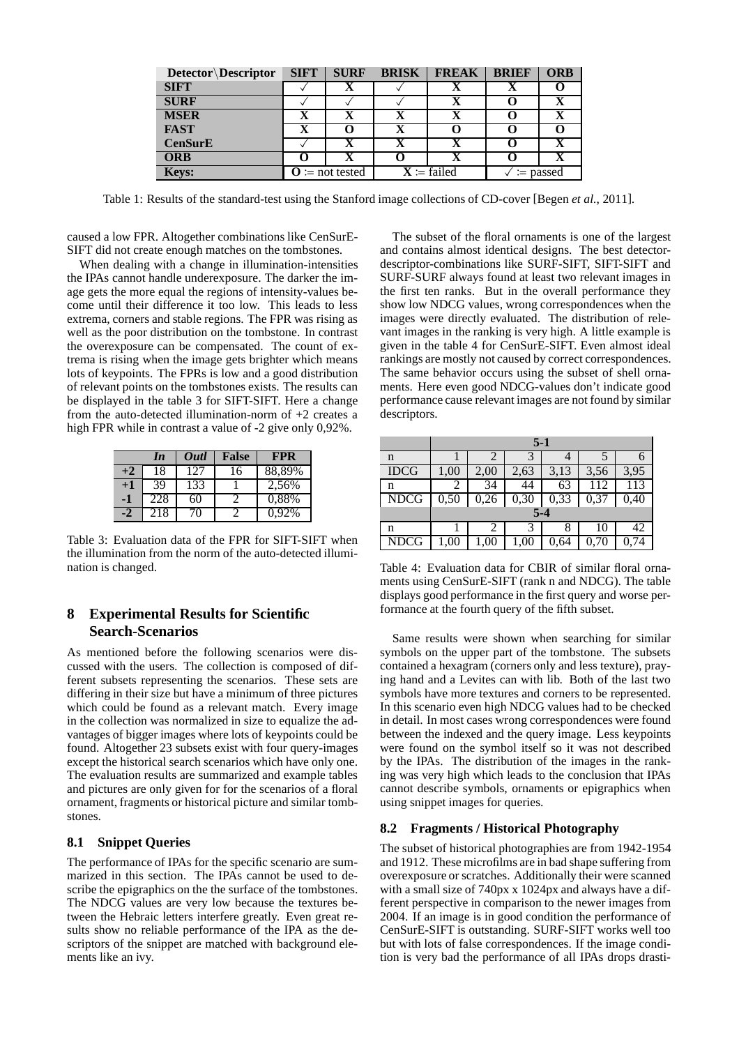| Detector Descriptor | <b>SIFT</b>                | <b>SURF</b> | <b>BRISK</b>                | <b>FREAK</b> | <b>BRIEF</b>                 | <b>ORB</b> |
|---------------------|----------------------------|-------------|-----------------------------|--------------|------------------------------|------------|
| <b>SIFT</b>         |                            |             |                             |              | Δ                            |            |
| <b>SURF</b>         |                            |             |                             | X            |                              | X          |
| <b>MSER</b>         |                            |             |                             |              |                              |            |
| <b>FAST</b>         | X                          |             | X                           |              |                              |            |
| <b>CenSurE</b>      |                            |             |                             |              |                              |            |
| <b>ORB</b>          |                            |             |                             |              |                              |            |
| Keys:               | $\mathbf{O}$ := not tested |             | $X \coloneqq \text{failed}$ |              | $\mathrel{\mathop:}=$ passed |            |

Table 1: Results of the standard-test using the Stanford image collections of CD-cover [Begen *et al.*, 2011].

caused a low FPR. Altogether combinations like CenSurE-SIFT did not create enough matches on the tombstones.

When dealing with a change in illumination-intensities the IPAs cannot handle underexposure. The darker the image gets the more equal the regions of intensity-values become until their difference it too low. This leads to less extrema, corners and stable regions. The FPR was rising as well as the poor distribution on the tombstone. In contrast the overexposure can be compensated. The count of extrema is rising when the image gets brighter which means lots of keypoints. The FPRs is low and a good distribution of relevant points on the tombstones exists. The results can be displayed in the table 3 for SIFT-SIFT. Here a change from the auto-detected illumination-norm of  $+2$  creates a high FPR while in contrast a value of -2 give only 0,92%.

|      | In  | Outl      | <b>False</b> | <b>FPR</b> |
|------|-----|-----------|--------------|------------|
| $+2$ | 18  | 127       | 16           | 88,89%     |
| ŦJ   | 39  | 133       |              | 2,56%      |
|      | 228 | 60        |              | 0.88%      |
|      | 218 | $10^{-7}$ |              | 0.92%      |

Table 3: Evaluation data of the FPR for SIFT-SIFT when the illumination from the norm of the auto-detected illumination is changed.

# **8 Experimental Results for Scientific Search-Scenarios**

As mentioned before the following scenarios were discussed with the users. The collection is composed of different subsets representing the scenarios. These sets are differing in their size but have a minimum of three pictures which could be found as a relevant match. Every image in the collection was normalized in size to equalize the advantages of bigger images where lots of keypoints could be found. Altogether 23 subsets exist with four query-images except the historical search scenarios which have only one. The evaluation results are summarized and example tables and pictures are only given for for the scenarios of a floral ornament, fragments or historical picture and similar tombstones.

# **8.1 Snippet Queries**

The performance of IPAs for the specific scenario are summarized in this section. The IPAs cannot be used to describe the epigraphics on the the surface of the tombstones. The NDCG values are very low because the textures between the Hebraic letters interfere greatly. Even great results show no reliable performance of the IPA as the descriptors of the snippet are matched with background elements like an ivy.

The subset of the floral ornaments is one of the largest and contains almost identical designs. The best detectordescriptor-combinations like SURF-SIFT, SIFT-SIFT and SURF-SURF always found at least two relevant images in the first ten ranks. But in the overall performance they show low NDCG values, wrong correspondences when the images were directly evaluated. The distribution of relevant images in the ranking is very high. A little example is given in the table 4 for CenSurE-SIFT. Even almost ideal rankings are mostly not caused by correct correspondences. The same behavior occurs using the subset of shell ornaments. Here even good NDCG-values don't indicate good performance cause relevant images are not found by similar descriptors.

|             | $5 - 1$ |      |      |      |      |      |  |
|-------------|---------|------|------|------|------|------|--|
| n           |         |      |      |      |      |      |  |
| <b>IDCG</b> | 1,00    | 2,00 | 2,63 | 3,13 | 3,56 | 3,95 |  |
| n           |         | 34   | 44   | 63   |      | 113  |  |
| <b>NDCG</b> | 0,50    | 0,26 | 0,30 | 0,33 | 0,37 | 0,40 |  |
|             | $5 - 4$ |      |      |      |      |      |  |
| n           |         |      |      |      | 10   | 42   |  |
| <b>NDCG</b> | ,00     | 1,00 | 1,00 | 0,64 |      | 0,74 |  |

Table 4: Evaluation data for CBIR of similar floral ornaments using CenSurE-SIFT (rank n and NDCG). The table displays good performance in the first query and worse performance at the fourth query of the fifth subset.

Same results were shown when searching for similar symbols on the upper part of the tombstone. The subsets contained a hexagram (corners only and less texture), praying hand and a Levites can with lib. Both of the last two symbols have more textures and corners to be represented. In this scenario even high NDCG values had to be checked in detail. In most cases wrong correspondences were found between the indexed and the query image. Less keypoints were found on the symbol itself so it was not described by the IPAs. The distribution of the images in the ranking was very high which leads to the conclusion that IPAs cannot describe symbols, ornaments or epigraphics when using snippet images for queries.

# **8.2 Fragments / Historical Photography**

The subset of historical photographies are from 1942-1954 and 1912. These microfilms are in bad shape suffering from overexposure or scratches. Additionally their were scanned with a small size of 740px x 1024px and always have a different perspective in comparison to the newer images from 2004. If an image is in good condition the performance of CenSurE-SIFT is outstanding. SURF-SIFT works well too but with lots of false correspondences. If the image condition is very bad the performance of all IPAs drops drasti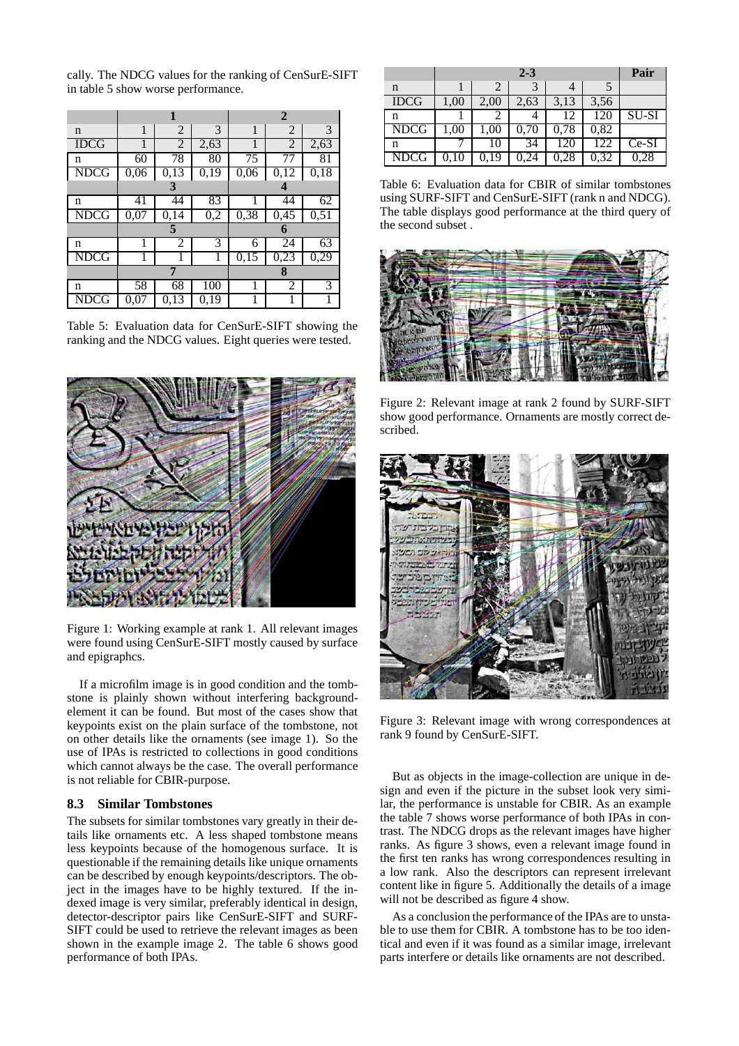cally. The NDCG values for the ranking of CenSurE-SIFT in table 5 show worse performance.

|             |      |                |                  | $\overline{2}$ |                |      |  |
|-------------|------|----------------|------------------|----------------|----------------|------|--|
| n           | 1    | $\overline{2}$ | 3                | 1              | $\overline{2}$ | 3    |  |
| <b>IDCG</b> | 1    | $\overline{2}$ | 2,63             | 1              | 2              | 2,63 |  |
| n           | 60   | 78             | 80               | 75             | 77             | 81   |  |
| NDCG        | 0,06 | 0,13           | 0,19             | 0,06           | 0,12           | 0,18 |  |
|             | 3    |                |                  | 4              |                |      |  |
| n           | 41   | 44             | 83               |                | 44             | 62   |  |
| <b>NDCG</b> | 0,07 | 0,14           | $0,\overline{2}$ | 0,38           | 0,45           | 0,51 |  |
|             |      | 5              |                  | 6              |                |      |  |
| n           |      | 2              | 3                | 6              | 24             | 63   |  |
| <b>NDCG</b> |      | 1              | 1                | 0,15           | 0,23           | 0,29 |  |
|             |      | 7              |                  |                | 8              |      |  |
| n           | 58   | 68             | 100              |                | 2              | 3    |  |
| <b>NDCG</b> | 0,07 | 0,13           | 0,19             |                |                |      |  |

Table 5: Evaluation data for CenSurE-SIFT showing the ranking and the NDCG values. Eight queries were tested.



Figure 1: Working example at rank 1. All relevant images were found using CenSurE-SIFT mostly caused by surface and epigraphcs.

If a microfilm image is in good condition and the tombstone is plainly shown without interfering backgroundelement it can be found. But most of the cases show that keypoints exist on the plain surface of the tombstone, not on other details like the ornaments (see image 1). So the use of IPAs is restricted to collections in good conditions which cannot always be the case. The overall performance is not reliable for CBIR-purpose.

#### **8.3 Similar Tombstones**

The subsets for similar tombstones vary greatly in their details like ornaments etc. A less shaped tombstone means less keypoints because of the homogenous surface. It is questionable if the remaining details like unique ornaments can be described by enough keypoints/descriptors. The object in the images have to be highly textured. If the indexed image is very similar, preferably identical in design, detector-descriptor pairs like CenSurE-SIFT and SURF-SIFT could be used to retrieve the relevant images as been shown in the example image 2. The table 6 shows good performance of both IPAs.

|             |      | Pair     |      |      |      |         |
|-------------|------|----------|------|------|------|---------|
| n           |      |          |      |      |      |         |
| <b>IDCG</b> | 1,00 | 2,00     | 2,63 | 3,13 | 3,56 |         |
| n           |      |          |      | 12   | 120  | $SU-SI$ |
| <b>NDCG</b> | 1,00 | $1{,}00$ | 0,70 | 0.78 | 0,82 |         |
| n           |      | 10       | 34   | 120  | 122  | $Ce-SI$ |
| <b>NDCG</b> |      | 0.19     | 0.24 | 0,28 | 0.32 | 0,28    |

Table 6: Evaluation data for CBIR of similar tombstones using SURF-SIFT and CenSurE-SIFT (rank n and NDCG). The table displays good performance at the third query of the second subset .



Figure 2: Relevant image at rank 2 found by SURF-SIFT show good performance. Ornaments are mostly correct described.



Figure 3: Relevant image with wrong correspondences at rank 9 found by CenSurE-SIFT.

But as objects in the image-collection are unique in design and even if the picture in the subset look very similar, the performance is unstable for CBIR. As an example the table 7 shows worse performance of both IPAs in contrast. The NDCG drops as the relevant images have higher ranks. As figure 3 shows, even a relevant image found in the first ten ranks has wrong correspondences resulting in a low rank. Also the descriptors can represent irrelevant content like in figure 5. Additionally the details of a image will not be described as figure 4 show.

As a conclusion the performance of the IPAs are to unstable to use them for CBIR. A tombstone has to be too identical and even if it was found as a similar image, irrelevant parts interfere or details like ornaments are not described.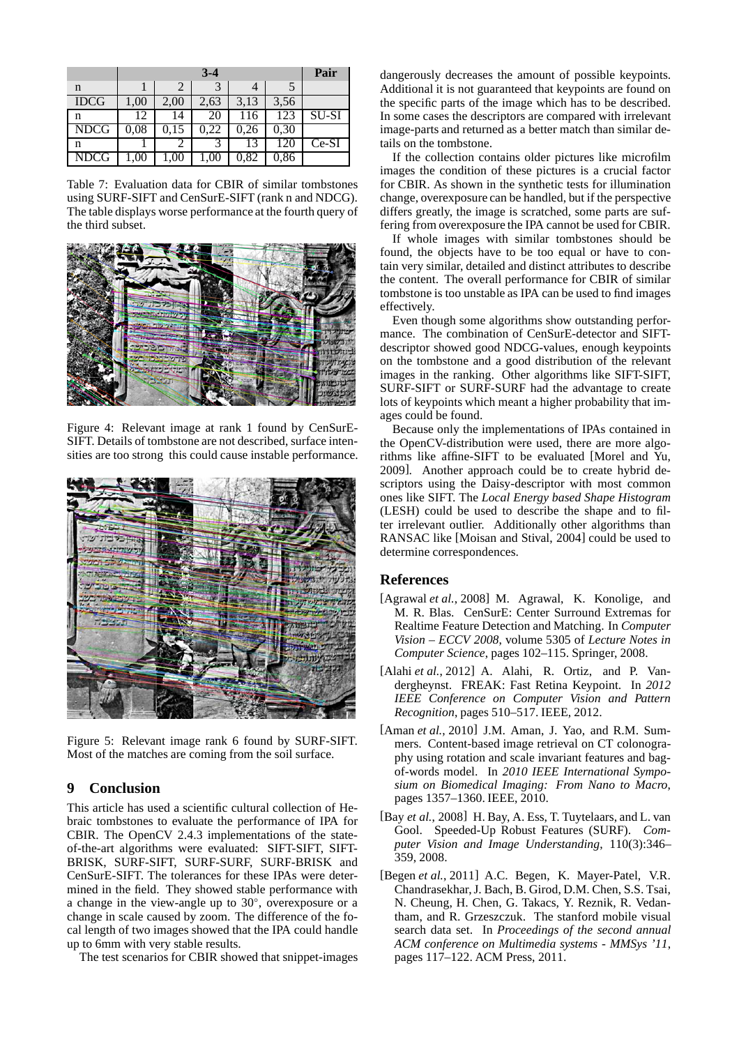|             |           | Pair |      |      |      |              |
|-------------|-----------|------|------|------|------|--------------|
| n           |           |      |      |      |      |              |
| <b>IDCG</b> | 1,00      | 2,00 | 2,63 | 3,13 | 3,56 |              |
| n           | 12        | 14   | 20   | 116  | 123  | <b>SU-SI</b> |
| <b>NDCG</b> | $_{0,08}$ | 0,15 | 0.22 | 0,26 | 0,30 |              |
| n           |           |      |      |      | 120  | $Ce-SI$      |
| <b>NDCG</b> |           |      |      | 0,82 | 0,86 |              |

Table 7: Evaluation data for CBIR of similar tombstones using SURF-SIFT and CenSurE-SIFT (rank n and NDCG). The table displays worse performance at the fourth query of the third subset.



Figure 4: Relevant image at rank 1 found by CenSurE-SIFT. Details of tombstone are not described, surface intensities are too strong this could cause instable performance.



Figure 5: Relevant image rank 6 found by SURF-SIFT. Most of the matches are coming from the soil surface.

# **9 Conclusion**

This article has used a scientific cultural collection of Hebraic tombstones to evaluate the performance of IPA for CBIR. The OpenCV 2.4.3 implementations of the stateof-the-art algorithms were evaluated: SIFT-SIFT, SIFT-BRISK, SURF-SIFT, SURF-SURF, SURF-BRISK and CenSurE-SIFT. The tolerances for these IPAs were determined in the field. They showed stable performance with a change in the view-angle up to  $30^{\circ}$ , overexposure or a change in scale caused by zoom. The difference of the focal length of two images showed that the IPA could handle up to 6mm with very stable results.

The test scenarios for CBIR showed that snippet-images

dangerously decreases the amount of possible keypoints. Additional it is not guaranteed that keypoints are found on the specific parts of the image which has to be described. In some cases the descriptors are compared with irrelevant image-parts and returned as a better match than similar details on the tombstone.

If the collection contains older pictures like microfilm images the condition of these pictures is a crucial factor for CBIR. As shown in the synthetic tests for illumination change, overexposure can be handled, but if the perspective differs greatly, the image is scratched, some parts are suffering from overexposure the IPA cannot be used for CBIR.

If whole images with similar tombstones should be found, the objects have to be too equal or have to contain very similar, detailed and distinct attributes to describe the content. The overall performance for CBIR of similar tombstone is too unstable as IPA can be used to find images effectively.

Even though some algorithms show outstanding performance. The combination of CenSurE-detector and SIFTdescriptor showed good NDCG-values, enough keypoints on the tombstone and a good distribution of the relevant images in the ranking. Other algorithms like SIFT-SIFT, SURF-SIFT or SURF-SURF had the advantage to create lots of keypoints which meant a higher probability that images could be found.

Because only the implementations of IPAs contained in the OpenCV-distribution were used, there are more algorithms like affine-SIFT to be evaluated [Morel and Yu, 2009]. Another approach could be to create hybrid descriptors using the Daisy-descriptor with most common ones like SIFT. The *Local Energy based Shape Histogram* (LESH) could be used to describe the shape and to filter irrelevant outlier. Additionally other algorithms than RANSAC like [Moisan and Stival, 2004] could be used to determine correspondences.

#### **References**

- [Agrawal *et al.*, 2008] M. Agrawal, K. Konolige, and M. R. Blas. CenSurE: Center Surround Extremas for Realtime Feature Detection and Matching. In *Computer Vision – ECCV 2008*, volume 5305 of *Lecture Notes in Computer Science*, pages 102–115. Springer, 2008.
- [Alahi *et al.*, 2012] A. Alahi, R. Ortiz, and P. Vandergheynst. FREAK: Fast Retina Keypoint. In *2012 IEEE Conference on Computer Vision and Pattern Recognition*, pages 510–517. IEEE, 2012.
- [Aman *et al.*, 2010] J.M. Aman, J. Yao, and R.M. Summers. Content-based image retrieval on CT colonography using rotation and scale invariant features and bagof-words model. In *2010 IEEE International Symposium on Biomedical Imaging: From Nano to Macro*, pages 1357–1360. IEEE, 2010.
- [Bay *et al.*, 2008] H. Bay, A. Ess, T. Tuytelaars, and L. van Gool. Speeded-Up Robust Features (SURF). *Computer Vision and Image Understanding*, 110(3):346– 359, 2008.
- [Begen et al., 2011] A.C. Begen, K. Mayer-Patel, V.R. Chandrasekhar, J. Bach, B. Girod, D.M. Chen, S.S. Tsai, N. Cheung, H. Chen, G. Takacs, Y. Reznik, R. Vedantham, and R. Grzeszczuk. The stanford mobile visual search data set. In *Proceedings of the second annual ACM conference on Multimedia systems - MMSys '11*, pages 117–122. ACM Press, 2011.